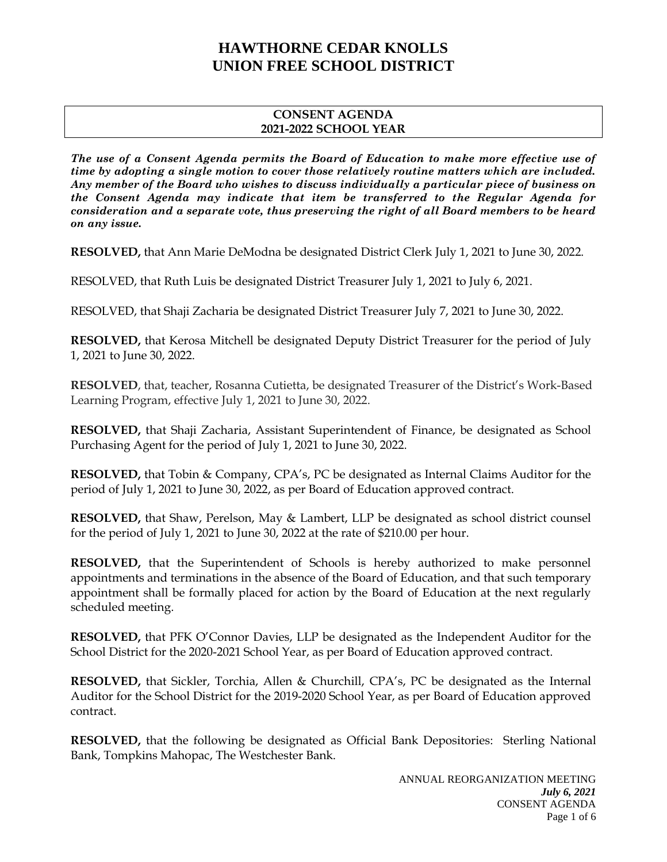#### **CONSENT AGENDA 2021-2022 SCHOOL YEAR**

*The use of a Consent Agenda permits the Board of Education to make more effective use of time by adopting a single motion to cover those relatively routine matters which are included. Any member of the Board who wishes to discuss individually a particular piece of business on the Consent Agenda may indicate that item be transferred to the Regular Agenda for consideration and a separate vote, thus preserving the right of all Board members to be heard on any issue.* 

**RESOLVED,** that Ann Marie DeModna be designated District Clerk July 1, 2021 to June 30, 2022.

RESOLVED, that Ruth Luis be designated District Treasurer July 1, 2021 to July 6, 2021.

RESOLVED, that Shaji Zacharia be designated District Treasurer July 7, 2021 to June 30, 2022.

**RESOLVED,** that Kerosa Mitchell be designated Deputy District Treasurer for the period of July 1, 2021 to June 30, 2022.

**RESOLVED**, that, teacher, Rosanna Cutietta, be designated Treasurer of the District's Work-Based Learning Program, effective July 1, 2021 to June 30, 2022.

**RESOLVED,** that Shaji Zacharia, Assistant Superintendent of Finance, be designated as School Purchasing Agent for the period of July 1, 2021 to June 30, 2022.

**RESOLVED,** that Tobin & Company, CPA's, PC be designated as Internal Claims Auditor for the period of July 1, 2021 to June 30, 2022, as per Board of Education approved contract.

**RESOLVED,** that Shaw, Perelson, May & Lambert, LLP be designated as school district counsel for the period of July 1, 2021 to June 30, 2022 at the rate of \$210.00 per hour.

**RESOLVED,** that the Superintendent of Schools is hereby authorized to make personnel appointments and terminations in the absence of the Board of Education, and that such temporary appointment shall be formally placed for action by the Board of Education at the next regularly scheduled meeting.

**RESOLVED,** that PFK O'Connor Davies, LLP be designated as the Independent Auditor for the School District for the 2020-2021 School Year, as per Board of Education approved contract.

**RESOLVED,** that Sickler, Torchia, Allen & Churchill, CPA's, PC be designated as the Internal Auditor for the School District for the 2019-2020 School Year, as per Board of Education approved contract.

**RESOLVED,** that the following be designated as Official Bank Depositories: Sterling National Bank, Tompkins Mahopac, The Westchester Bank.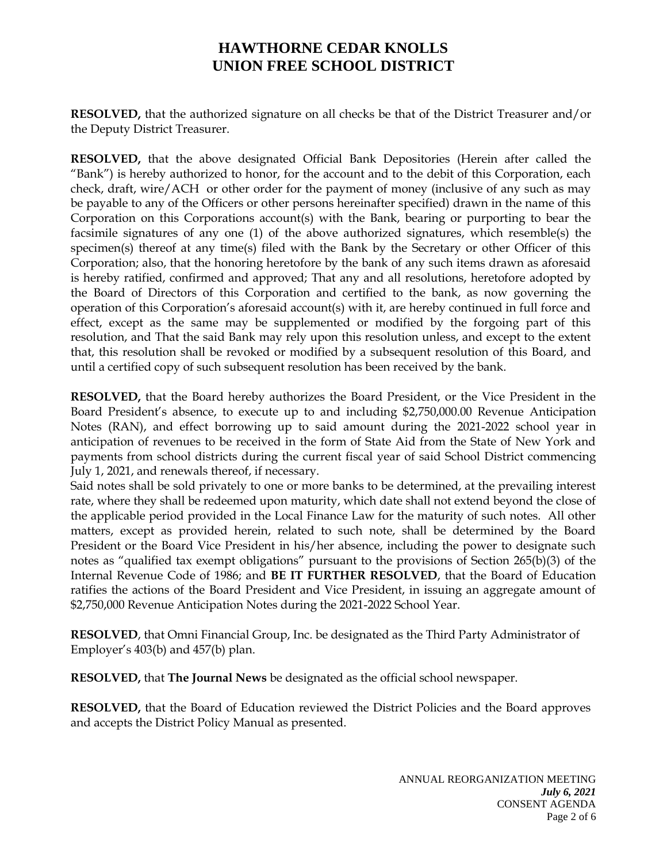**RESOLVED,** that the authorized signature on all checks be that of the District Treasurer and/or the Deputy District Treasurer.

**RESOLVED,** that the above designated Official Bank Depositories (Herein after called the "Bank") is hereby authorized to honor, for the account and to the debit of this Corporation, each check, draft, wire/ACH or other order for the payment of money (inclusive of any such as may be payable to any of the Officers or other persons hereinafter specified) drawn in the name of this Corporation on this Corporations account(s) with the Bank, bearing or purporting to bear the facsimile signatures of any one (1) of the above authorized signatures, which resemble(s) the specimen(s) thereof at any time(s) filed with the Bank by the Secretary or other Officer of this Corporation; also, that the honoring heretofore by the bank of any such items drawn as aforesaid is hereby ratified, confirmed and approved; That any and all resolutions, heretofore adopted by the Board of Directors of this Corporation and certified to the bank, as now governing the operation of this Corporation's aforesaid account(s) with it, are hereby continued in full force and effect, except as the same may be supplemented or modified by the forgoing part of this resolution, and That the said Bank may rely upon this resolution unless, and except to the extent that, this resolution shall be revoked or modified by a subsequent resolution of this Board, and until a certified copy of such subsequent resolution has been received by the bank.

**RESOLVED,** that the Board hereby authorizes the Board President, or the Vice President in the Board President's absence, to execute up to and including \$2,750,000.00 Revenue Anticipation Notes (RAN), and effect borrowing up to said amount during the 2021-2022 school year in anticipation of revenues to be received in the form of State Aid from the State of New York and payments from school districts during the current fiscal year of said School District commencing July 1, 2021, and renewals thereof, if necessary.

Said notes shall be sold privately to one or more banks to be determined, at the prevailing interest rate, where they shall be redeemed upon maturity, which date shall not extend beyond the close of the applicable period provided in the Local Finance Law for the maturity of such notes. All other matters, except as provided herein, related to such note, shall be determined by the Board President or the Board Vice President in his/her absence, including the power to designate such notes as "qualified tax exempt obligations" pursuant to the provisions of Section 265(b)(3) of the Internal Revenue Code of 1986; and **BE IT FURTHER RESOLVED**, that the Board of Education ratifies the actions of the Board President and Vice President, in issuing an aggregate amount of \$2,750,000 Revenue Anticipation Notes during the 2021-2022 School Year.

**RESOLVED**, that Omni Financial Group, Inc. be designated as the Third Party Administrator of Employer's 403(b) and 457(b) plan.

**RESOLVED,** that **The Journal News** be designated as the official school newspaper.

**RESOLVED,** that the Board of Education reviewed the District Policies and the Board approves and accepts the District Policy Manual as presented.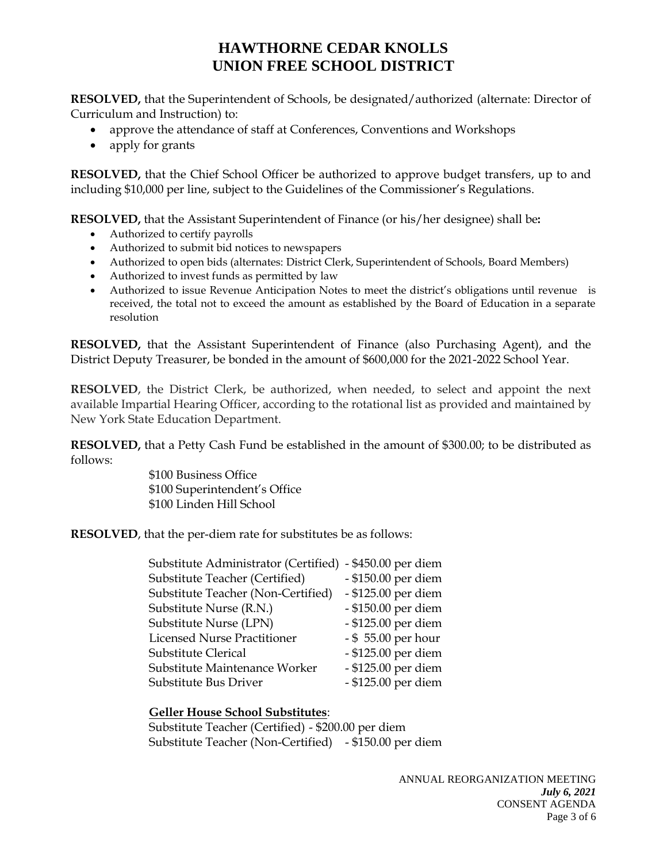**RESOLVED,** that the Superintendent of Schools, be designated/authorized (alternate: Director of Curriculum and Instruction) to:

- approve the attendance of staff at Conferences, Conventions and Workshops
- apply for grants

**RESOLVED,** that the Chief School Officer be authorized to approve budget transfers, up to and including \$10,000 per line, subject to the Guidelines of the Commissioner's Regulations.

**RESOLVED,** that the Assistant Superintendent of Finance (or his/her designee) shall be**:** 

- Authorized to certify payrolls
- Authorized to submit bid notices to newspapers
- Authorized to open bids (alternates: District Clerk, Superintendent of Schools, Board Members)
- Authorized to invest funds as permitted by law
- Authorized to issue Revenue Anticipation Notes to meet the district's obligations until revenue is received, the total not to exceed the amount as established by the Board of Education in a separate resolution

**RESOLVED,** that the Assistant Superintendent of Finance (also Purchasing Agent), and the District Deputy Treasurer, be bonded in the amount of \$600,000 for the 2021-2022 School Year.

**RESOLVED**, the District Clerk, be authorized, when needed, to select and appoint the next available Impartial Hearing Officer, according to the rotational list as provided and maintained by New York State Education Department.

**RESOLVED,** that a Petty Cash Fund be established in the amount of \$300.00; to be distributed as follows:

> \$100 Business Office \$100 Superintendent's Office \$100 Linden Hill School

**RESOLVED**, that the per-diem rate for substitutes be as follows:

| Substitute Administrator (Certified) | - \$450.00 per diem |
|--------------------------------------|---------------------|
| Substitute Teacher (Certified)       | - \$150.00 per diem |
| Substitute Teacher (Non-Certified)   | - \$125.00 per diem |
| Substitute Nurse (R.N.)              | - \$150.00 per diem |
| Substitute Nurse (LPN)               | - \$125.00 per diem |
| <b>Licensed Nurse Practitioner</b>   | - \$55.00 per hour  |
| Substitute Clerical                  | - \$125.00 per diem |
| Substitute Maintenance Worker        | - \$125.00 per diem |
| Substitute Bus Driver                | - \$125.00 per diem |

### **Geller House School Substitutes**:

Substitute Teacher (Certified) - \$200.00 per diem Substitute Teacher (Non-Certified) - \$150.00 per diem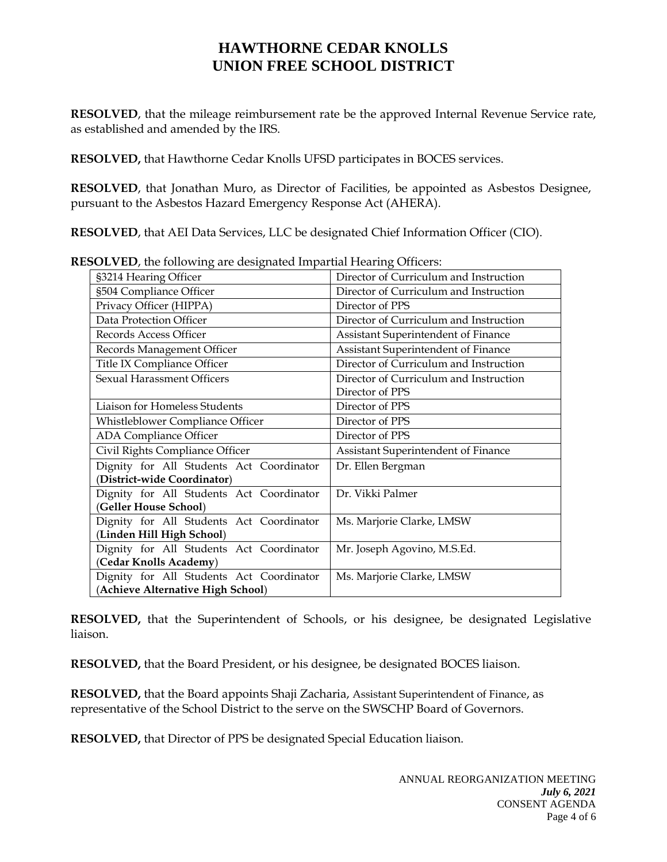**RESOLVED**, that the mileage reimbursement rate be the approved Internal Revenue Service rate, as established and amended by the IRS.

**RESOLVED,** that Hawthorne Cedar Knolls UFSD participates in BOCES services.

**RESOLVED**, that Jonathan Muro, as Director of Facilities, be appointed as Asbestos Designee, pursuant to the Asbestos Hazard Emergency Response Act (AHERA).

**RESOLVED**, that AEI Data Services, LLC be designated Chief Information Officer (CIO).

| $\overline{\phantom{a}}$<br>§3214 Hearing Officer | Director of Curriculum and Instruction |
|---------------------------------------------------|----------------------------------------|
| §504 Compliance Officer                           | Director of Curriculum and Instruction |
| Privacy Officer (HIPPA)                           | Director of PPS                        |
| Data Protection Officer                           | Director of Curriculum and Instruction |
| Records Access Officer                            | Assistant Superintendent of Finance    |
| Records Management Officer                        | Assistant Superintendent of Finance    |
| Title IX Compliance Officer                       | Director of Curriculum and Instruction |
| <b>Sexual Harassment Officers</b>                 | Director of Curriculum and Instruction |
|                                                   | Director of PPS                        |
| Liaison for Homeless Students                     | Director of PPS                        |
| Whistleblower Compliance Officer                  | Director of PPS                        |
| ADA Compliance Officer                            | Director of PPS                        |
| Civil Rights Compliance Officer                   | Assistant Superintendent of Finance    |
| Dignity for All Students Act Coordinator          | Dr. Ellen Bergman                      |
| (District-wide Coordinator)                       |                                        |
| Dignity for All Students Act Coordinator          | Dr. Vikki Palmer                       |
| (Geller House School)                             |                                        |
| Dignity for All Students Act Coordinator          | Ms. Marjorie Clarke, LMSW              |
| (Linden Hill High School)                         |                                        |
| Dignity for All Students Act Coordinator          | Mr. Joseph Agovino, M.S.Ed.            |
| (Cedar Knolls Academy)                            |                                        |
| Dignity for All Students Act Coordinator          | Ms. Marjorie Clarke, LMSW              |
| (Achieve Alternative High School)                 |                                        |

**RESOLVED**, the following are designated Impartial Hearing Officers:

**RESOLVED,** that the Superintendent of Schools, or his designee, be designated Legislative liaison.

**RESOLVED,** that the Board President, or his designee, be designated BOCES liaison.

**RESOLVED,** that the Board appoints Shaji Zacharia, Assistant Superintendent of Finance, as representative of the School District to the serve on the SWSCHP Board of Governors.

**RESOLVED,** that Director of PPS be designated Special Education liaison.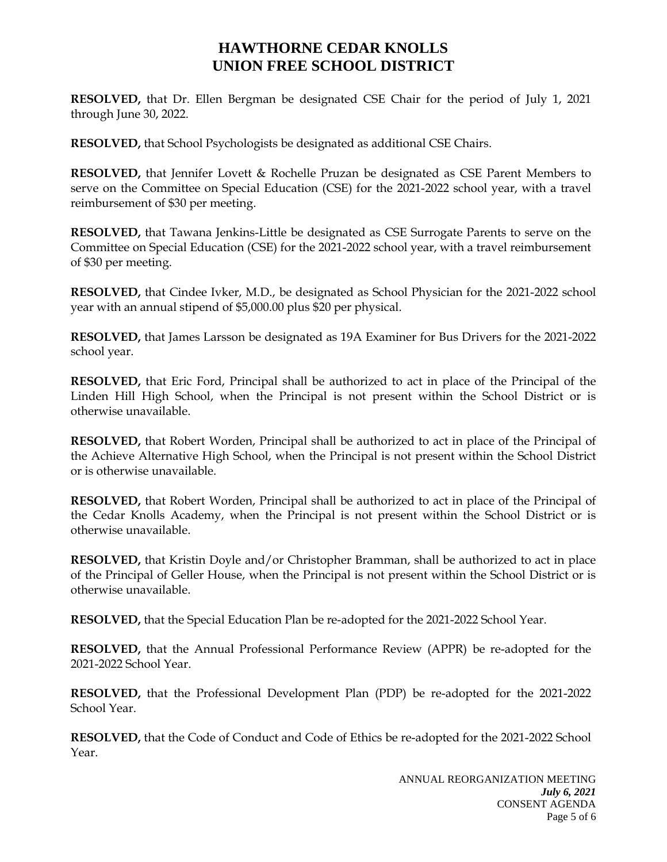**RESOLVED,** that Dr. Ellen Bergman be designated CSE Chair for the period of July 1, 2021 through June 30, 2022.

**RESOLVED,** that School Psychologists be designated as additional CSE Chairs.

**RESOLVED,** that Jennifer Lovett & Rochelle Pruzan be designated as CSE Parent Members to serve on the Committee on Special Education (CSE) for the 2021-2022 school year, with a travel reimbursement of \$30 per meeting.

**RESOLVED,** that Tawana Jenkins-Little be designated as CSE Surrogate Parents to serve on the Committee on Special Education (CSE) for the 2021-2022 school year, with a travel reimbursement of \$30 per meeting.

**RESOLVED,** that Cindee Ivker, M.D., be designated as School Physician for the 2021-2022 school year with an annual stipend of \$5,000.00 plus \$20 per physical.

**RESOLVED,** that James Larsson be designated as 19A Examiner for Bus Drivers for the 2021-2022 school year.

**RESOLVED,** that Eric Ford, Principal shall be authorized to act in place of the Principal of the Linden Hill High School, when the Principal is not present within the School District or is otherwise unavailable.

**RESOLVED,** that Robert Worden, Principal shall be authorized to act in place of the Principal of the Achieve Alternative High School, when the Principal is not present within the School District or is otherwise unavailable.

**RESOLVED,** that Robert Worden, Principal shall be authorized to act in place of the Principal of the Cedar Knolls Academy, when the Principal is not present within the School District or is otherwise unavailable.

**RESOLVED,** that Kristin Doyle and/or Christopher Bramman, shall be authorized to act in place of the Principal of Geller House, when the Principal is not present within the School District or is otherwise unavailable.

**RESOLVED,** that the Special Education Plan be re-adopted for the 2021-2022 School Year.

**RESOLVED,** that the Annual Professional Performance Review (APPR) be re-adopted for the 2021-2022 School Year.

**RESOLVED,** that the Professional Development Plan (PDP) be re-adopted for the 2021-2022 School Year.

**RESOLVED,** that the Code of Conduct and Code of Ethics be re-adopted for the 2021-2022 School Year.